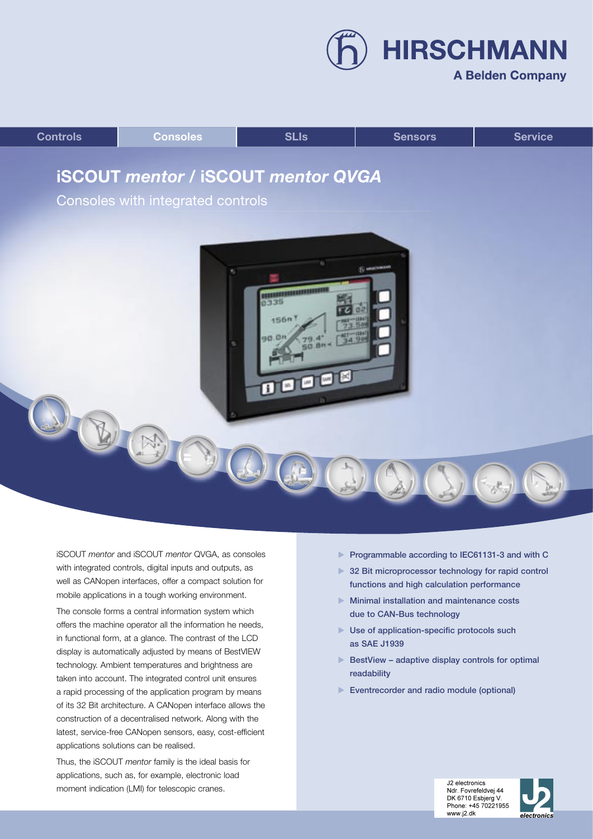**A Belden Company** 

**HIRSCHMANN** 



iSCOUT *mentor* and iSCOUT *mentor* QVGA, as consoles with integrated controls, digital inputs and outputs, as well as CANopen interfaces, offer a compact solution for mobile applications in a tough working environment.

The console forms a central information system which offers the machine operator all the information he needs, in functional form, at a glance. The contrast of the LCD display is automatically adjusted by means of BestVIEW technology. Ambient temperatures and brightness are taken into account. The integrated control unit ensures a rapid processing of the application program by means of its 32 Bit architecture. A CANopen interface allows the construction of a decentralised network. Along with the latest, service-free CANopen sensors, easy, cost-efficient applications solutions can be realised.

Thus, the iSCOUT *mentor* family is the ideal basis for applications, such as, for example, electronic load moment indication (LMI) for telescopic cranes.

- Programmable according to IEC61131-3 and with C
- ▶ 32 Bit microprocessor technology for rapid control functions and high calculation performance
- **Minimal installation and maintenance costs** due to CAN-Bus technology
- ▶ Use of application-specific protocols such as SAE J1939
- $\blacktriangleright$  BestView adaptive display controls for optimal readability
- Eventrecorder and radio module (optional)